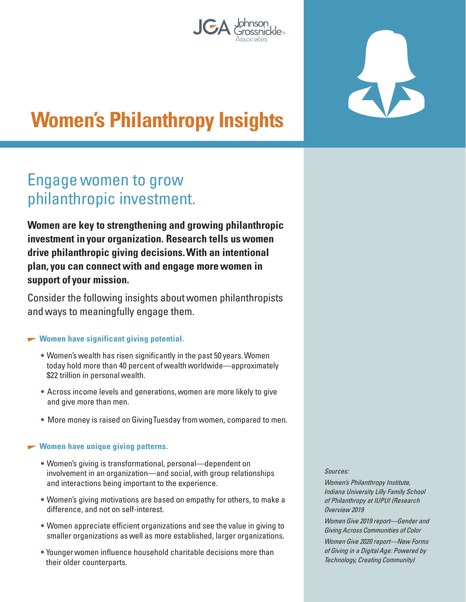



# **Women's Philanthropy Insights**

## Engage women to grow philanthropic investment.

**Women are key to strengthening and growing philanthropic investment in your organization. Research tells us women drive philanthropic giving decisions. With an intentional plan, you can connect with and engage more women in support of your mission.** 

Consider the following insights about women philanthropists and ways to meaningfully engage them.

#### **Women have significant giving potential.**

- Women's wealth has risen significantly in the past 50 years. Women today hold more than 40 percent of wealth worldwide—approximately \$22 trillion in personal wealth.
- Across income levels and generations, women are more likely to give and give more than men.
- More money is raised on Giving Tuesday from women, compared to men.

#### **Women have unique giving patterns.**

- Women's giving is transformational, personal—dependent on involvement in an organization—and social, with group relationships and interactions being important to the experience.
- Women's giving motivations are based on empathy for others, to make a difference, and not on self-interest.
- Women appreciate efficient organizations and see the value in giving to smaller organizations as well as more established, larger organizations.
- Younger women influence household charitable decisions more than their older counterparts.

Sources:

Women's Philanthropy Institute, Indiana University Lilly Family School of Philanthropy at IUPUI (Research Overview 2019

Women Give 2019 report—Gender and Giving Across Communities of Color Women Give 2020 report—New Forms of Giving in a Digital Age: Powered by Technology, Creating Community)